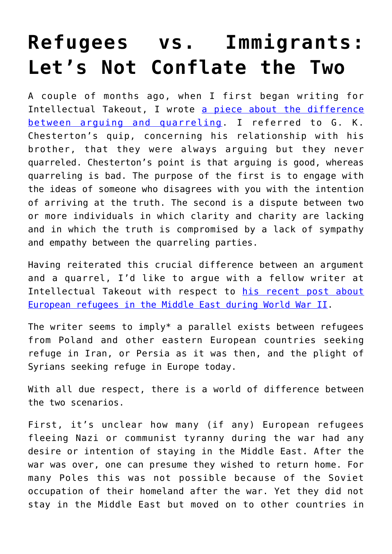## **[Refugees vs. Immigrants:](https://intellectualtakeout.org/2016/06/refugees-vs-immigrants-lets-not-conflate-the-two/) [Let's Not Conflate the Two](https://intellectualtakeout.org/2016/06/refugees-vs-immigrants-lets-not-conflate-the-two/)**

A couple of months ago, when I first began writing for Intellectual Takeout, I wrote [a piece about the difference](https://www.intellectualtakeout.org/blog/people-should-be-able-argue-without-getting-nasty) [between arguing and quarreling.](https://www.intellectualtakeout.org/blog/people-should-be-able-argue-without-getting-nasty) I referred to G. K. Chesterton's quip, concerning his relationship with his brother, that they were always arguing but they never quarreled. Chesterton's point is that arguing is good, whereas quarreling is bad. The purpose of the first is to engage with the ideas of someone who disagrees with you with the intention of arriving at the truth. The second is a dispute between two or more individuals in which clarity and charity are lacking and in which the truth is compromised by a lack of sympathy and empathy between the quarreling parties.

Having reiterated this crucial difference between an argument and a quarrel, I'd like to argue with a fellow writer at Intellectual Takeout with respect to [his recent post about](https://www.intellectualtakeout.org/blog/how-middle-easterns-treated-european-refugees-during-wwii) [European refugees in the Middle East during World War II.](https://www.intellectualtakeout.org/blog/how-middle-easterns-treated-european-refugees-during-wwii)

The writer seems to imply\* a parallel exists between refugees from Poland and other eastern European countries seeking refuge in Iran, or Persia as it was then, and the plight of Syrians seeking refuge in Europe today.

With all due respect, there is a world of difference between the two scenarios.

First, it's unclear how many (if any) European refugees fleeing Nazi or communist tyranny during the war had any desire or intention of staying in the Middle East. After the war was over, one can presume they wished to return home. For many Poles this was not possible because of the Soviet occupation of their homeland after the war. Yet they did not stay in the Middle East but moved on to other countries in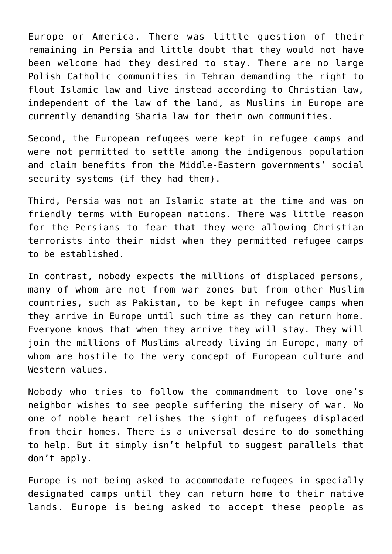Europe or America. There was little question of their remaining in Persia and little doubt that they would not have been welcome had they desired to stay. There are no large Polish Catholic communities in Tehran demanding the right to flout Islamic law and live instead according to Christian law, independent of the law of the land, as Muslims in Europe are currently demanding Sharia law for their own communities.

Second, the European refugees were kept in refugee camps and were not permitted to settle among the indigenous population and claim benefits from the Middle-Eastern governments' social security systems (if they had them).

Third, Persia was not an Islamic state at the time and was on friendly terms with European nations. There was little reason for the Persians to fear that they were allowing Christian terrorists into their midst when they permitted refugee camps to be established.

In contrast, nobody expects the millions of displaced persons, many of whom are not from war zones but from other Muslim countries, such as Pakistan, to be kept in refugee camps when they arrive in Europe until such time as they can return home. Everyone knows that when they arrive they will stay. They will join the millions of Muslims already living in Europe, many of whom are hostile to the very concept of European culture and Western values.

Nobody who tries to follow the commandment to love one's neighbor wishes to see people suffering the misery of war. No one of noble heart relishes the sight of refugees displaced from their homes. There is a universal desire to do something to help. But it simply isn't helpful to suggest parallels that don't apply.

Europe is not being asked to accommodate refugees in specially designated camps until they can return home to their native lands. Europe is being asked to accept these people as